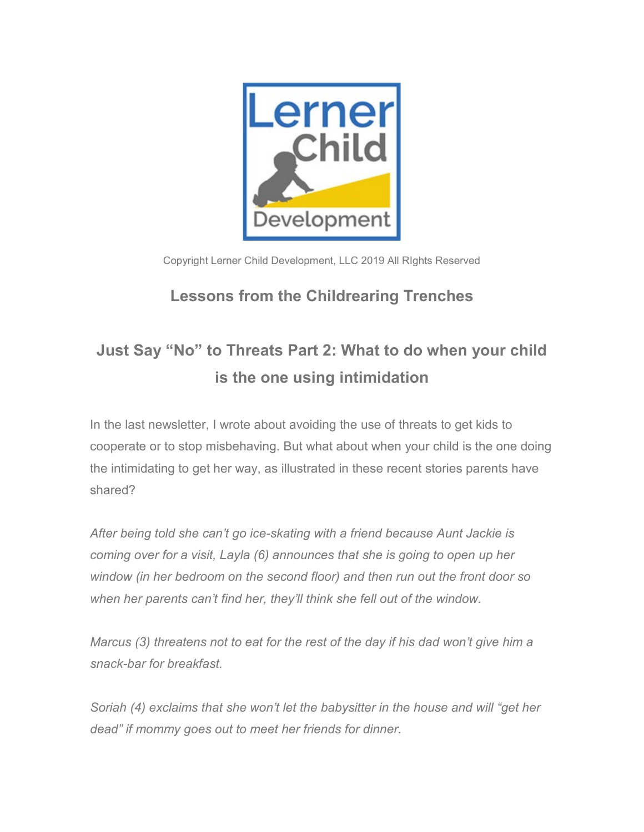

Copyright Lerner Child Development, LLC 2019 All RIghts Reserved

## **Lessons from the Childrearing Trenches**

## **Just Say "No" to Threats Part 2: What to do when your child is the one using intimidation**

In the last newsletter, I wrote about avoiding the use of threats to get kids to cooperate or to stop misbehaving. But what about when your child is the one doing the intimidating to get her way, as illustrated in these recent stories parents have shared?

*After being told she can't go ice-skating with a friend because Aunt Jackie is coming over for a visit, Layla (6) announces that she is going to open up her window (in her bedroom on the second floor) and then run out the front door so when her parents can't find her, they'll think she fell out of the window.* 

*Marcus (3) threatens not to eat for the rest of the day if his dad won't give him a snack-bar for breakfast.*

*Soriah (4) exclaims that she won't let the babysitter in the house and will "get her dead" if mommy goes out to meet her friends for dinner.*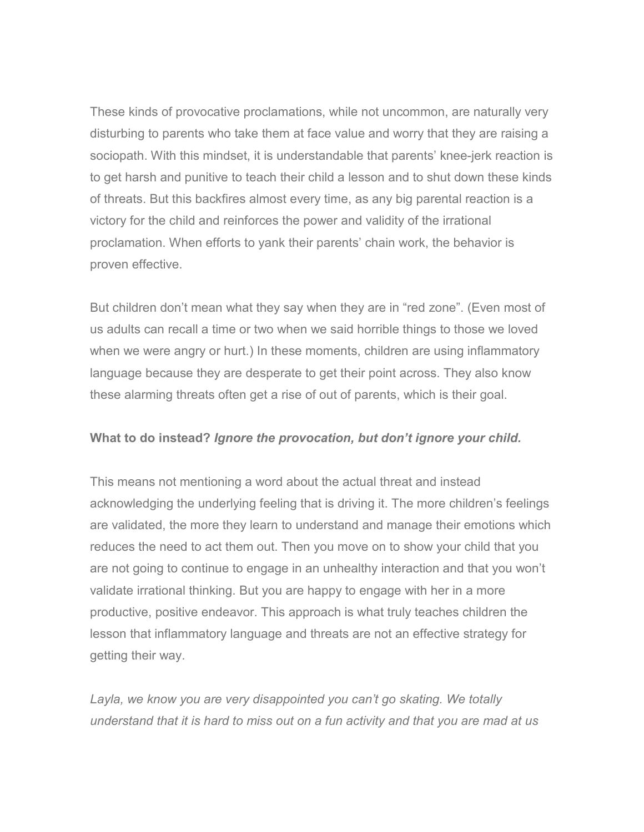These kinds of provocative proclamations, while not uncommon, are naturally very disturbing to parents who take them at face value and worry that they are raising a sociopath. With this mindset, it is understandable that parents' knee-jerk reaction is to get harsh and punitive to teach their child a lesson and to shut down these kinds of threats. But this backfires almost every time, as any big parental reaction is a victory for the child and reinforces the power and validity of the irrational proclamation. When efforts to yank their parents' chain work, the behavior is proven effective.

But children don't mean what they say when they are in "red zone". (Even most of us adults can recall a time or two when we said horrible things to those we loved when we were angry or hurt.) In these moments, children are using inflammatory language because they are desperate to get their point across. They also know these alarming threats often get a rise of out of parents, which is their goal.

## **What to do instead?** *Ignore the provocation, but don't ignore your child.*

This means not mentioning a word about the actual threat and instead acknowledging the underlying feeling that is driving it. The more children's feelings are validated, the more they learn to understand and manage their emotions which reduces the need to act them out. Then you move on to show your child that you are not going to continue to engage in an unhealthy interaction and that you won't validate irrational thinking. But you are happy to engage with her in a more productive, positive endeavor. This approach is what truly teaches children the lesson that inflammatory language and threats are not an effective strategy for getting their way.

*Layla, we know you are very disappointed you can't go skating. We totally understand that it is hard to miss out on a fun activity and that you are mad at us*